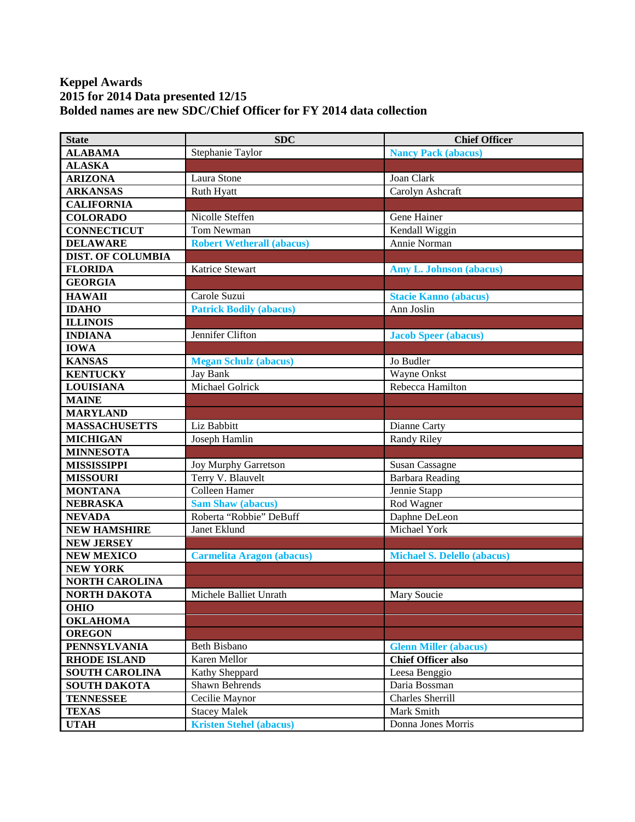## **Keppel Awards 2015 for 2014 Data presented 12/15 Bolded names are new SDC/Chief Officer for FY 2014 data collection**

| <b>State</b>             | <b>SDC</b>                       | <b>Chief Officer</b>               |
|--------------------------|----------------------------------|------------------------------------|
| <b>ALABAMA</b>           | Stephanie Taylor                 | <b>Nancy Pack (abacus)</b>         |
| <b>ALASKA</b>            |                                  |                                    |
| <b>ARIZONA</b>           | Laura Stone                      | Joan Clark                         |
| <b>ARKANSAS</b>          | Ruth Hyatt                       | Carolyn Ashcraft                   |
| <b>CALIFORNIA</b>        |                                  |                                    |
| <b>COLORADO</b>          | Nicolle Steffen                  | Gene Hainer                        |
| <b>CONNECTICUT</b>       | Tom Newman                       | Kendall Wiggin                     |
| <b>DELAWARE</b>          | <b>Robert Wetherall (abacus)</b> | Annie Norman                       |
| <b>DIST. OF COLUMBIA</b> |                                  |                                    |
| <b>FLORIDA</b>           | Katrice Stewart                  | <b>Amy L. Johnson (abacus)</b>     |
| <b>GEORGIA</b>           |                                  |                                    |
| <b>HAWAII</b>            | Carole Suzui                     | <b>Stacie Kanno (abacus)</b>       |
| <b>IDAHO</b>             | <b>Patrick Bodily (abacus)</b>   | Ann Joslin                         |
| <b>ILLINOIS</b>          |                                  |                                    |
| <b>INDIANA</b>           | Jennifer Clifton                 | <b>Jacob Speer (abacus)</b>        |
| <b>IOWA</b>              |                                  |                                    |
| <b>KANSAS</b>            | <b>Megan Schulz (abacus)</b>     | Jo Budler                          |
| <b>KENTUCKY</b>          | Jay Bank                         | Wayne Onkst                        |
| <b>LOUISIANA</b>         | <b>Michael Golrick</b>           | Rebecca Hamilton                   |
| <b>MAINE</b>             |                                  |                                    |
| <b>MARYLAND</b>          |                                  |                                    |
| <b>MASSACHUSETTS</b>     | Liz Babbitt                      | Dianne Carty                       |
| <b>MICHIGAN</b>          | Joseph Hamlin                    | Randy Riley                        |
| <b>MINNESOTA</b>         |                                  |                                    |
| <b>MISSISSIPPI</b>       | <b>Joy Murphy Garretson</b>      | <b>Susan Cassagne</b>              |
| <b>MISSOURI</b>          | Terry V. Blauvelt                | <b>Barbara Reading</b>             |
| <b>MONTANA</b>           | Colleen Hamer                    | Jennie Stapp                       |
| <b>NEBRASKA</b>          | <b>Sam Shaw (abacus)</b>         | Rod Wagner                         |
| <b>NEVADA</b>            | Roberta "Robbie" DeBuff          | Daphne DeLeon                      |
| <b>NEW HAMSHIRE</b>      | Janet Eklund                     | Michael York                       |
| <b>NEW JERSEY</b>        |                                  |                                    |
| <b>NEW MEXICO</b>        | <b>Carmelita Aragon (abacus)</b> | <b>Michael S. Delello (abacus)</b> |
| <b>NEW YORK</b>          |                                  |                                    |
| <b>NORTH CAROLINA</b>    |                                  |                                    |
| <b>NORTH DAKOTA</b>      | Michele Balliet Unrath           | Mary Soucie                        |
| <b>OHIO</b>              |                                  |                                    |
| <b>OKLAHOMA</b>          |                                  |                                    |
| <b>OREGON</b>            |                                  |                                    |
| <b>PENNSYLVANIA</b>      | <b>Beth Bisbano</b>              | <b>Glenn Miller (abacus)</b>       |
| <b>RHODE ISLAND</b>      | Karen Mellor                     | <b>Chief Officer also</b>          |
| <b>SOUTH CAROLINA</b>    | Kathy Sheppard                   | Leesa Benggio                      |
| <b>SOUTH DAKOTA</b>      | Shawn Behrends                   | Daria Bossman                      |
| <b>TENNESSEE</b>         | Cecilie Maynor                   | Charles Sherrill                   |
| <b>TEXAS</b>             | <b>Stacey Malek</b>              | Mark Smith                         |
| <b>UTAH</b>              | <b>Kristen Stehel (abacus)</b>   | Donna Jones Morris                 |